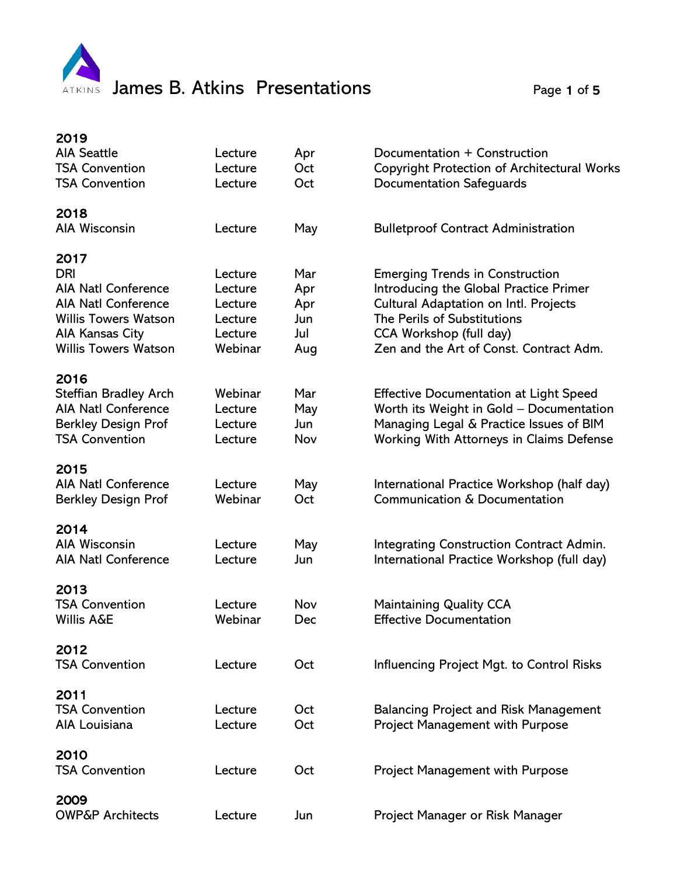

| 2019                                |         |     |                                                    |
|-------------------------------------|---------|-----|----------------------------------------------------|
| <b>AIA Seattle</b>                  | Lecture | Apr | Documentation + Construction                       |
| <b>TSA Convention</b>               | Lecture | Oct | <b>Copyright Protection of Architectural Works</b> |
| <b>TSA Convention</b>               | Lecture | Oct | <b>Documentation Safeguards</b>                    |
| 2018                                |         |     |                                                    |
| <b>AIA Wisconsin</b>                | Lecture | May | <b>Bulletproof Contract Administration</b>         |
| 2017                                |         |     |                                                    |
| <b>DRI</b>                          | Lecture | Mar | <b>Emerging Trends in Construction</b>             |
| <b>AIA Natl Conference</b>          | Lecture | Apr | Introducing the Global Practice Primer             |
| <b>AIA Natl Conference</b>          | Lecture | Apr | Cultural Adaptation on Intl. Projects              |
| <b>Willis Towers Watson</b>         | Lecture | Jun | The Perils of Substitutions                        |
| AIA Kansas City                     | Lecture | Jul | CCA Workshop (full day)                            |
| <b>Willis Towers Watson</b>         | Webinar | Aug | Zen and the Art of Const. Contract Adm.            |
| 2016                                |         |     |                                                    |
| <b>Steffian Bradley Arch</b>        | Webinar | Mar | <b>Effective Documentation at Light Speed</b>      |
| <b>AIA Natl Conference</b>          | Lecture | May | Worth its Weight in Gold - Documentation           |
| <b>Berkley Design Prof</b>          | Lecture | Jun | Managing Legal & Practice Issues of BIM            |
| <b>TSA Convention</b>               | Lecture | Nov | Working With Attorneys in Claims Defense           |
|                                     |         |     |                                                    |
| 2015                                |         |     |                                                    |
| <b>AIA Natl Conference</b>          | Lecture | May | International Practice Workshop (half day)         |
| <b>Berkley Design Prof</b>          | Webinar | Oct | Communication & Documentation                      |
| 2014                                |         |     |                                                    |
| <b>AIA Wisconsin</b>                | Lecture | May | <b>Integrating Construction Contract Admin.</b>    |
| <b>AIA Natl Conference</b>          | Lecture | Jun | International Practice Workshop (full day)         |
| 2013                                |         |     |                                                    |
| <b>TSA Convention</b>               | Lecture | Nov | <b>Maintaining Quality CCA</b>                     |
| <b>Willis A&amp;E</b>               | Webinar | Dec | <b>Effective Documentation</b>                     |
| 2012                                |         |     |                                                    |
| <b>TSA Convention</b>               | Lecture | Oct | Influencing Project Mgt. to Control Risks          |
|                                     |         |     |                                                    |
| 2011                                |         |     |                                                    |
| <b>TSA Convention</b>               | Lecture | Oct | <b>Balancing Project and Risk Management</b>       |
| AIA Louisiana                       | Lecture | Oct | <b>Project Management with Purpose</b>             |
| 2010                                |         |     |                                                    |
| <b>TSA Convention</b>               | Lecture | Oct | <b>Project Management with Purpose</b>             |
|                                     |         |     |                                                    |
| 2009<br><b>OWP&amp;P Architects</b> | Lecture | Jun |                                                    |
|                                     |         |     | Project Manager or Risk Manager                    |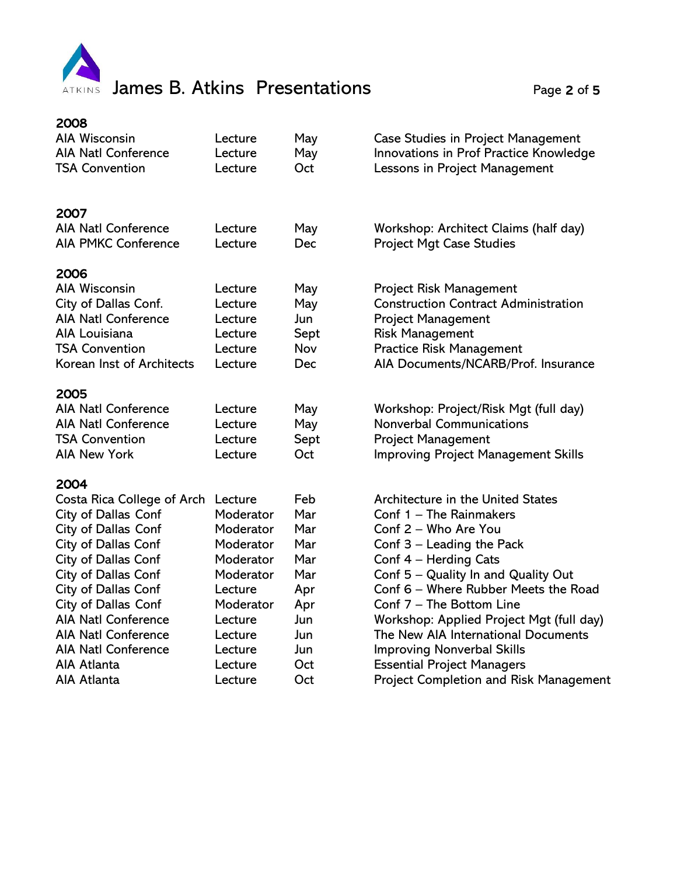

| <b>AIA Wisconsin</b><br>May<br>Case Studies in Project Management<br>Lecture<br><b>AIA Natl Conference</b><br>May<br>Innovations in Prof Practice Knowledge<br>Lecture<br><b>TSA Convention</b><br>Oct<br>Lessons in Project Management<br>Lecture<br>2007<br>AIA Natl Conference<br>May<br>Workshop: Architect Claims (half day)<br>Lecture<br><b>AIA PMKC Conference</b><br><b>Project Mgt Case Studies</b><br>Lecture<br>Dec<br>2006<br><b>AIA Wisconsin</b><br><b>Project Risk Management</b><br>Lecture<br>May<br>City of Dallas Conf.<br><b>Construction Contract Administration</b><br>May<br>Lecture<br><b>AIA Natl Conference</b><br>Jun<br><b>Project Management</b><br>Lecture<br>AIA Louisiana<br><b>Risk Management</b><br>Sept<br>Lecture<br><b>TSA Convention</b><br>Nov<br><b>Practice Risk Management</b><br>Lecture<br>Korean Inst of Architects<br>AIA Documents/NCARB/Prof. Insurance<br>Lecture<br>Dec<br>2005<br><b>AIA Natl Conference</b><br>Lecture<br>Workshop: Project/Risk Mgt (full day)<br>May<br><b>AIA Natl Conference</b><br><b>Nonverbal Communications</b><br>Lecture<br>May<br><b>Project Management</b><br><b>TSA Convention</b><br>Lecture<br>Sept<br><b>Improving Project Management Skills</b><br><b>AIA New York</b><br>Oct<br>Lecture<br>2004<br>Feb<br>Costa Rica College of Arch<br><b>Architecture in the United States</b><br>Lecture<br>Mar<br>Conf 1 - The Rainmakers<br>City of Dallas Conf<br>Moderator<br><b>City of Dallas Conf</b><br>Mar<br>Conf 2 - Who Are You<br>Moderator<br>City of Dallas Conf<br>Mar<br>Moderator<br>Conf $3$ – Leading the Pack<br>Conf 4 - Herding Cats<br>City of Dallas Conf<br>Moderator<br>Mar<br>City of Dallas Conf<br>Conf 5 - Quality In and Quality Out<br>Moderator<br>Mar<br>City of Dallas Conf<br>Conf 6 - Where Rubber Meets the Road<br>Lecture<br>Apr<br>City of Dallas Conf<br>Conf 7 - The Bottom Line<br>Moderator<br>Apr<br><b>AIA Natl Conference</b><br>Workshop: Applied Project Mgt (full day)<br>Lecture<br>Jun<br><b>AIA Natl Conference</b><br>The New AIA International Documents<br>Jun<br>Lecture | 2008 |  |  |
|----------------------------------------------------------------------------------------------------------------------------------------------------------------------------------------------------------------------------------------------------------------------------------------------------------------------------------------------------------------------------------------------------------------------------------------------------------------------------------------------------------------------------------------------------------------------------------------------------------------------------------------------------------------------------------------------------------------------------------------------------------------------------------------------------------------------------------------------------------------------------------------------------------------------------------------------------------------------------------------------------------------------------------------------------------------------------------------------------------------------------------------------------------------------------------------------------------------------------------------------------------------------------------------------------------------------------------------------------------------------------------------------------------------------------------------------------------------------------------------------------------------------------------------------------------------------------------------------------------------------------------------------------------------------------------------------------------------------------------------------------------------------------------------------------------------------------------------------------------------------------------------------------------------------------------------------------------------------------------------------------------------------------------------------------------------------------------------------------------------|------|--|--|
|                                                                                                                                                                                                                                                                                                                                                                                                                                                                                                                                                                                                                                                                                                                                                                                                                                                                                                                                                                                                                                                                                                                                                                                                                                                                                                                                                                                                                                                                                                                                                                                                                                                                                                                                                                                                                                                                                                                                                                                                                                                                                                                |      |  |  |
|                                                                                                                                                                                                                                                                                                                                                                                                                                                                                                                                                                                                                                                                                                                                                                                                                                                                                                                                                                                                                                                                                                                                                                                                                                                                                                                                                                                                                                                                                                                                                                                                                                                                                                                                                                                                                                                                                                                                                                                                                                                                                                                |      |  |  |
|                                                                                                                                                                                                                                                                                                                                                                                                                                                                                                                                                                                                                                                                                                                                                                                                                                                                                                                                                                                                                                                                                                                                                                                                                                                                                                                                                                                                                                                                                                                                                                                                                                                                                                                                                                                                                                                                                                                                                                                                                                                                                                                |      |  |  |
|                                                                                                                                                                                                                                                                                                                                                                                                                                                                                                                                                                                                                                                                                                                                                                                                                                                                                                                                                                                                                                                                                                                                                                                                                                                                                                                                                                                                                                                                                                                                                                                                                                                                                                                                                                                                                                                                                                                                                                                                                                                                                                                |      |  |  |
|                                                                                                                                                                                                                                                                                                                                                                                                                                                                                                                                                                                                                                                                                                                                                                                                                                                                                                                                                                                                                                                                                                                                                                                                                                                                                                                                                                                                                                                                                                                                                                                                                                                                                                                                                                                                                                                                                                                                                                                                                                                                                                                |      |  |  |
|                                                                                                                                                                                                                                                                                                                                                                                                                                                                                                                                                                                                                                                                                                                                                                                                                                                                                                                                                                                                                                                                                                                                                                                                                                                                                                                                                                                                                                                                                                                                                                                                                                                                                                                                                                                                                                                                                                                                                                                                                                                                                                                |      |  |  |
|                                                                                                                                                                                                                                                                                                                                                                                                                                                                                                                                                                                                                                                                                                                                                                                                                                                                                                                                                                                                                                                                                                                                                                                                                                                                                                                                                                                                                                                                                                                                                                                                                                                                                                                                                                                                                                                                                                                                                                                                                                                                                                                |      |  |  |
|                                                                                                                                                                                                                                                                                                                                                                                                                                                                                                                                                                                                                                                                                                                                                                                                                                                                                                                                                                                                                                                                                                                                                                                                                                                                                                                                                                                                                                                                                                                                                                                                                                                                                                                                                                                                                                                                                                                                                                                                                                                                                                                |      |  |  |
|                                                                                                                                                                                                                                                                                                                                                                                                                                                                                                                                                                                                                                                                                                                                                                                                                                                                                                                                                                                                                                                                                                                                                                                                                                                                                                                                                                                                                                                                                                                                                                                                                                                                                                                                                                                                                                                                                                                                                                                                                                                                                                                |      |  |  |
|                                                                                                                                                                                                                                                                                                                                                                                                                                                                                                                                                                                                                                                                                                                                                                                                                                                                                                                                                                                                                                                                                                                                                                                                                                                                                                                                                                                                                                                                                                                                                                                                                                                                                                                                                                                                                                                                                                                                                                                                                                                                                                                |      |  |  |
|                                                                                                                                                                                                                                                                                                                                                                                                                                                                                                                                                                                                                                                                                                                                                                                                                                                                                                                                                                                                                                                                                                                                                                                                                                                                                                                                                                                                                                                                                                                                                                                                                                                                                                                                                                                                                                                                                                                                                                                                                                                                                                                |      |  |  |
|                                                                                                                                                                                                                                                                                                                                                                                                                                                                                                                                                                                                                                                                                                                                                                                                                                                                                                                                                                                                                                                                                                                                                                                                                                                                                                                                                                                                                                                                                                                                                                                                                                                                                                                                                                                                                                                                                                                                                                                                                                                                                                                |      |  |  |
|                                                                                                                                                                                                                                                                                                                                                                                                                                                                                                                                                                                                                                                                                                                                                                                                                                                                                                                                                                                                                                                                                                                                                                                                                                                                                                                                                                                                                                                                                                                                                                                                                                                                                                                                                                                                                                                                                                                                                                                                                                                                                                                |      |  |  |
|                                                                                                                                                                                                                                                                                                                                                                                                                                                                                                                                                                                                                                                                                                                                                                                                                                                                                                                                                                                                                                                                                                                                                                                                                                                                                                                                                                                                                                                                                                                                                                                                                                                                                                                                                                                                                                                                                                                                                                                                                                                                                                                |      |  |  |
|                                                                                                                                                                                                                                                                                                                                                                                                                                                                                                                                                                                                                                                                                                                                                                                                                                                                                                                                                                                                                                                                                                                                                                                                                                                                                                                                                                                                                                                                                                                                                                                                                                                                                                                                                                                                                                                                                                                                                                                                                                                                                                                |      |  |  |
|                                                                                                                                                                                                                                                                                                                                                                                                                                                                                                                                                                                                                                                                                                                                                                                                                                                                                                                                                                                                                                                                                                                                                                                                                                                                                                                                                                                                                                                                                                                                                                                                                                                                                                                                                                                                                                                                                                                                                                                                                                                                                                                |      |  |  |
|                                                                                                                                                                                                                                                                                                                                                                                                                                                                                                                                                                                                                                                                                                                                                                                                                                                                                                                                                                                                                                                                                                                                                                                                                                                                                                                                                                                                                                                                                                                                                                                                                                                                                                                                                                                                                                                                                                                                                                                                                                                                                                                |      |  |  |
|                                                                                                                                                                                                                                                                                                                                                                                                                                                                                                                                                                                                                                                                                                                                                                                                                                                                                                                                                                                                                                                                                                                                                                                                                                                                                                                                                                                                                                                                                                                                                                                                                                                                                                                                                                                                                                                                                                                                                                                                                                                                                                                |      |  |  |
|                                                                                                                                                                                                                                                                                                                                                                                                                                                                                                                                                                                                                                                                                                                                                                                                                                                                                                                                                                                                                                                                                                                                                                                                                                                                                                                                                                                                                                                                                                                                                                                                                                                                                                                                                                                                                                                                                                                                                                                                                                                                                                                |      |  |  |
|                                                                                                                                                                                                                                                                                                                                                                                                                                                                                                                                                                                                                                                                                                                                                                                                                                                                                                                                                                                                                                                                                                                                                                                                                                                                                                                                                                                                                                                                                                                                                                                                                                                                                                                                                                                                                                                                                                                                                                                                                                                                                                                |      |  |  |
|                                                                                                                                                                                                                                                                                                                                                                                                                                                                                                                                                                                                                                                                                                                                                                                                                                                                                                                                                                                                                                                                                                                                                                                                                                                                                                                                                                                                                                                                                                                                                                                                                                                                                                                                                                                                                                                                                                                                                                                                                                                                                                                |      |  |  |
|                                                                                                                                                                                                                                                                                                                                                                                                                                                                                                                                                                                                                                                                                                                                                                                                                                                                                                                                                                                                                                                                                                                                                                                                                                                                                                                                                                                                                                                                                                                                                                                                                                                                                                                                                                                                                                                                                                                                                                                                                                                                                                                |      |  |  |
|                                                                                                                                                                                                                                                                                                                                                                                                                                                                                                                                                                                                                                                                                                                                                                                                                                                                                                                                                                                                                                                                                                                                                                                                                                                                                                                                                                                                                                                                                                                                                                                                                                                                                                                                                                                                                                                                                                                                                                                                                                                                                                                |      |  |  |
|                                                                                                                                                                                                                                                                                                                                                                                                                                                                                                                                                                                                                                                                                                                                                                                                                                                                                                                                                                                                                                                                                                                                                                                                                                                                                                                                                                                                                                                                                                                                                                                                                                                                                                                                                                                                                                                                                                                                                                                                                                                                                                                |      |  |  |
|                                                                                                                                                                                                                                                                                                                                                                                                                                                                                                                                                                                                                                                                                                                                                                                                                                                                                                                                                                                                                                                                                                                                                                                                                                                                                                                                                                                                                                                                                                                                                                                                                                                                                                                                                                                                                                                                                                                                                                                                                                                                                                                |      |  |  |
|                                                                                                                                                                                                                                                                                                                                                                                                                                                                                                                                                                                                                                                                                                                                                                                                                                                                                                                                                                                                                                                                                                                                                                                                                                                                                                                                                                                                                                                                                                                                                                                                                                                                                                                                                                                                                                                                                                                                                                                                                                                                                                                |      |  |  |
|                                                                                                                                                                                                                                                                                                                                                                                                                                                                                                                                                                                                                                                                                                                                                                                                                                                                                                                                                                                                                                                                                                                                                                                                                                                                                                                                                                                                                                                                                                                                                                                                                                                                                                                                                                                                                                                                                                                                                                                                                                                                                                                |      |  |  |
|                                                                                                                                                                                                                                                                                                                                                                                                                                                                                                                                                                                                                                                                                                                                                                                                                                                                                                                                                                                                                                                                                                                                                                                                                                                                                                                                                                                                                                                                                                                                                                                                                                                                                                                                                                                                                                                                                                                                                                                                                                                                                                                |      |  |  |
|                                                                                                                                                                                                                                                                                                                                                                                                                                                                                                                                                                                                                                                                                                                                                                                                                                                                                                                                                                                                                                                                                                                                                                                                                                                                                                                                                                                                                                                                                                                                                                                                                                                                                                                                                                                                                                                                                                                                                                                                                                                                                                                |      |  |  |
|                                                                                                                                                                                                                                                                                                                                                                                                                                                                                                                                                                                                                                                                                                                                                                                                                                                                                                                                                                                                                                                                                                                                                                                                                                                                                                                                                                                                                                                                                                                                                                                                                                                                                                                                                                                                                                                                                                                                                                                                                                                                                                                |      |  |  |
|                                                                                                                                                                                                                                                                                                                                                                                                                                                                                                                                                                                                                                                                                                                                                                                                                                                                                                                                                                                                                                                                                                                                                                                                                                                                                                                                                                                                                                                                                                                                                                                                                                                                                                                                                                                                                                                                                                                                                                                                                                                                                                                |      |  |  |
|                                                                                                                                                                                                                                                                                                                                                                                                                                                                                                                                                                                                                                                                                                                                                                                                                                                                                                                                                                                                                                                                                                                                                                                                                                                                                                                                                                                                                                                                                                                                                                                                                                                                                                                                                                                                                                                                                                                                                                                                                                                                                                                |      |  |  |
| <b>Improving Nonverbal Skills</b><br><b>AIA Natl Conference</b><br>Jun<br>Lecture                                                                                                                                                                                                                                                                                                                                                                                                                                                                                                                                                                                                                                                                                                                                                                                                                                                                                                                                                                                                                                                                                                                                                                                                                                                                                                                                                                                                                                                                                                                                                                                                                                                                                                                                                                                                                                                                                                                                                                                                                              |      |  |  |
| <b>Essential Project Managers</b><br>AIA Atlanta<br>Oct<br>Lecture                                                                                                                                                                                                                                                                                                                                                                                                                                                                                                                                                                                                                                                                                                                                                                                                                                                                                                                                                                                                                                                                                                                                                                                                                                                                                                                                                                                                                                                                                                                                                                                                                                                                                                                                                                                                                                                                                                                                                                                                                                             |      |  |  |
| <b>Project Completion and Risk Management</b><br>AIA Atlanta<br>Oct<br>Lecture                                                                                                                                                                                                                                                                                                                                                                                                                                                                                                                                                                                                                                                                                                                                                                                                                                                                                                                                                                                                                                                                                                                                                                                                                                                                                                                                                                                                                                                                                                                                                                                                                                                                                                                                                                                                                                                                                                                                                                                                                                 |      |  |  |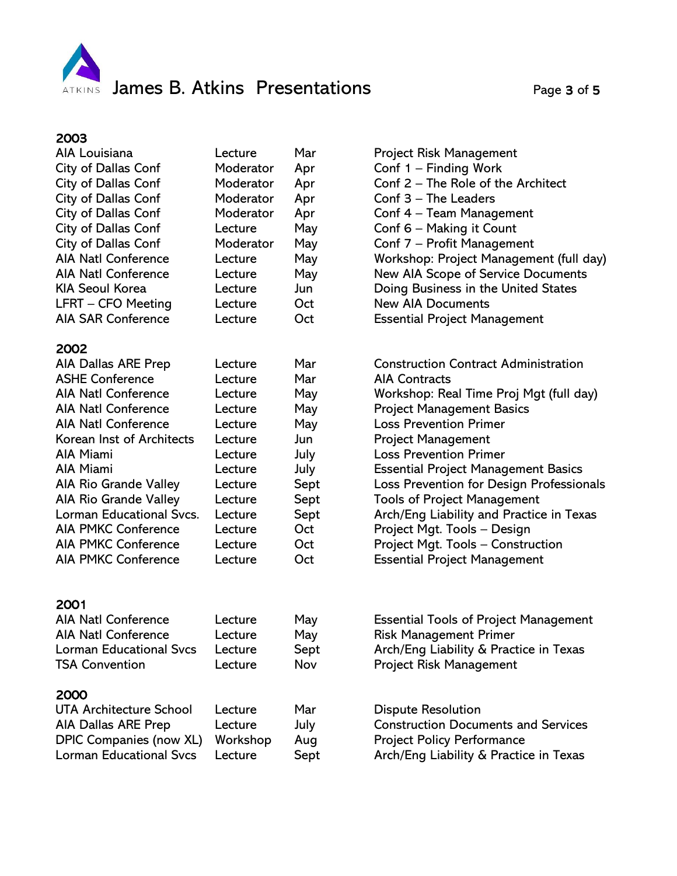

| 2003                           |           |      |                                              |
|--------------------------------|-----------|------|----------------------------------------------|
| AIA Louisiana                  | Lecture   | Mar  | <b>Project Risk Management</b>               |
| <b>City of Dallas Conf</b>     | Moderator | Apr  | Conf 1 - Finding Work                        |
| City of Dallas Conf            | Moderator | Apr  | Conf 2 - The Role of the Architect           |
| City of Dallas Conf            | Moderator | Apr  | Conf 3 - The Leaders                         |
| City of Dallas Conf            | Moderator | Apr  | Conf 4 - Team Management                     |
| City of Dallas Conf            | Lecture   | May  | Conf 6 - Making it Count                     |
| City of Dallas Conf            | Moderator | May  | Conf 7 - Profit Management                   |
| <b>AIA Natl Conference</b>     | Lecture   | May  | Workshop: Project Management (full day)      |
| <b>AIA Natl Conference</b>     | Lecture   | May  | New AIA Scope of Service Documents           |
| <b>KIA Seoul Korea</b>         | Lecture   | Jun  | Doing Business in the United States          |
| LFRT - CFO Meeting             | Lecture   | Oct  | <b>New AIA Documents</b>                     |
| <b>AIA SAR Conference</b>      | Lecture   | Oct  | <b>Essential Project Management</b>          |
|                                |           |      |                                              |
| 2002                           |           |      |                                              |
| <b>AIA Dallas ARE Prep</b>     | Lecture   | Mar  | <b>Construction Contract Administration</b>  |
| <b>ASHE Conference</b>         | Lecture   | Mar  | <b>AIA Contracts</b>                         |
| <b>AIA Natl Conference</b>     | Lecture   | May  | Workshop: Real Time Proj Mgt (full day)      |
| <b>AIA Natl Conference</b>     | Lecture   | May  | <b>Project Management Basics</b>             |
| <b>AIA Natl Conference</b>     | Lecture   | May  | <b>Loss Prevention Primer</b>                |
| Korean Inst of Architects      | Lecture   | Jun  | <b>Project Management</b>                    |
| <b>AIA Miami</b>               | Lecture   | July | <b>Loss Prevention Primer</b>                |
| AIA Miami                      | Lecture   | July | <b>Essential Project Management Basics</b>   |
| AIA Rio Grande Valley          | Lecture   | Sept | Loss Prevention for Design Professionals     |
| AIA Rio Grande Valley          | Lecture   | Sept | <b>Tools of Project Management</b>           |
| Lorman Educational Svcs.       | Lecture   | Sept | Arch/Eng Liability and Practice in Texas     |
| <b>AIA PMKC Conference</b>     | Lecture   | Oct  | Project Mgt. Tools - Design                  |
| <b>AIA PMKC Conference</b>     | Lecture   | Oct  | Project Mgt. Tools - Construction            |
| <b>AIA PMKC Conference</b>     | Lecture   | Oct  | <b>Essential Project Management</b>          |
|                                |           |      |                                              |
|                                |           |      |                                              |
| 2001                           |           |      |                                              |
| <b>AIA Natl Conference</b>     | Lecture   | May  | <b>Essential Tools of Project Management</b> |
| <b>AIA Natl Conference</b>     | Lecture   | May  | <b>Risk Management Primer</b>                |
| <b>Lorman Educational Svcs</b> | Lecture   | Sept | Arch/Eng Liability & Practice in Texas       |
| <b>TSA Convention</b>          | Lecture   | Nov  | <b>Project Risk Management</b>               |
| 2000                           |           |      |                                              |
| UTA Architecture School        | Lecture   | Mar  | <b>Dispute Resolution</b>                    |
| AIA Dallas ARE Prep            | Lecture   | July | <b>Construction Documents and Services</b>   |
| DPIC Companies (now XL)        | Workshop  | Aug  | <b>Project Policy Performance</b>            |
| <b>Lorman Educational Svcs</b> | Lecture   | Sept | Arch/Eng Liability & Practice in Texas       |
|                                |           |      |                                              |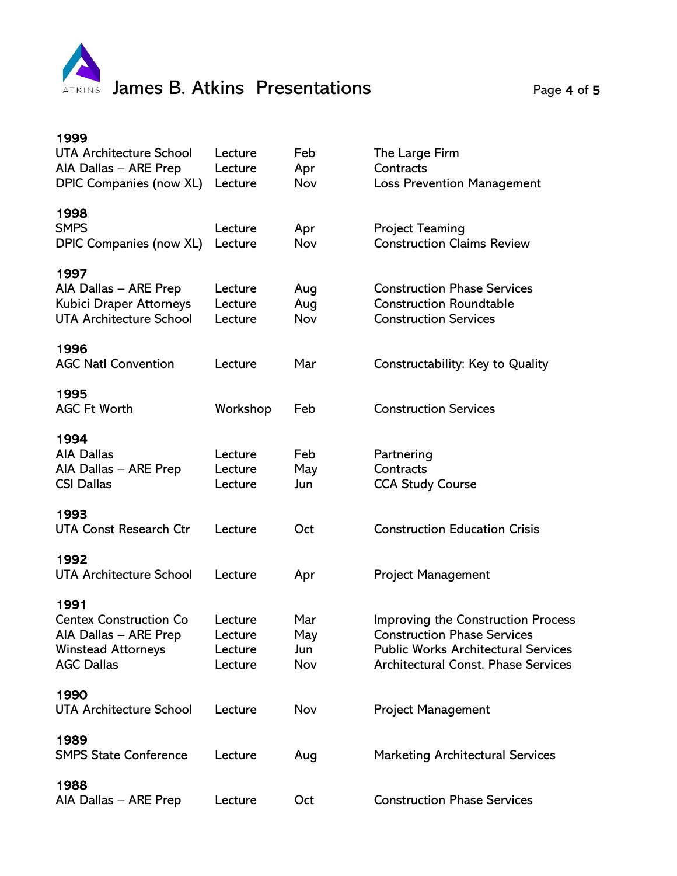

| 1999<br><b>UTA Architecture School</b><br>AIA Dallas - ARE Prep<br>DPIC Companies (now XL)                       | Lecture<br>Lecture<br>Lecture            | Feb<br>Apr<br>Nov        | The Large Firm<br>Contracts<br><b>Loss Prevention Management</b>                                                                                                     |
|------------------------------------------------------------------------------------------------------------------|------------------------------------------|--------------------------|----------------------------------------------------------------------------------------------------------------------------------------------------------------------|
| 1998<br><b>SMPS</b><br>DPIC Companies (now XL)                                                                   | Lecture<br>Lecture                       | Apr<br>Nov               | <b>Project Teaming</b><br><b>Construction Claims Review</b>                                                                                                          |
| 1997<br>AIA Dallas - ARE Prep<br>Kubici Draper Attorneys<br><b>UTA Architecture School</b>                       | Lecture<br>Lecture<br>Lecture            | Aug<br>Aug<br>Nov        | <b>Construction Phase Services</b><br><b>Construction Roundtable</b><br><b>Construction Services</b>                                                                 |
| 1996<br><b>AGC Natl Convention</b>                                                                               | Lecture                                  | Mar                      | Constructability: Key to Quality                                                                                                                                     |
| 1995<br><b>AGC Ft Worth</b>                                                                                      | Workshop                                 | Feb                      | <b>Construction Services</b>                                                                                                                                         |
| 1994<br><b>AIA Dallas</b><br>AIA Dallas - ARE Prep<br><b>CSI Dallas</b>                                          | Lecture<br>Lecture<br>Lecture            | Feb<br>May<br>Jun        | Partnering<br>Contracts<br><b>CCA Study Course</b>                                                                                                                   |
| 1993<br><b>UTA Const Research Ctr</b>                                                                            | Lecture                                  | Oct                      | <b>Construction Education Crisis</b>                                                                                                                                 |
| 1992<br><b>UTA Architecture School</b>                                                                           | Lecture                                  | Apr                      | <b>Project Management</b>                                                                                                                                            |
| 1991<br><b>Centex Construction Co</b><br>AIA Dallas - ARE Prep<br><b>Winstead Attorneys</b><br><b>AGC Dallas</b> | Lecture<br>Lecture<br>Lecture<br>Lecture | Mar<br>May<br>Jun<br>Nov | Improving the Construction Process<br><b>Construction Phase Services</b><br><b>Public Works Architectural Services</b><br><b>Architectural Const. Phase Services</b> |
| 1990<br><b>UTA Architecture School</b>                                                                           | Lecture                                  | Nov                      | <b>Project Management</b>                                                                                                                                            |
| 1989<br><b>SMPS State Conference</b>                                                                             | Lecture                                  | Aug                      | <b>Marketing Architectural Services</b>                                                                                                                              |
| 1988<br>AIA Dallas - ARE Prep                                                                                    | Lecture                                  | Oct                      | <b>Construction Phase Services</b>                                                                                                                                   |